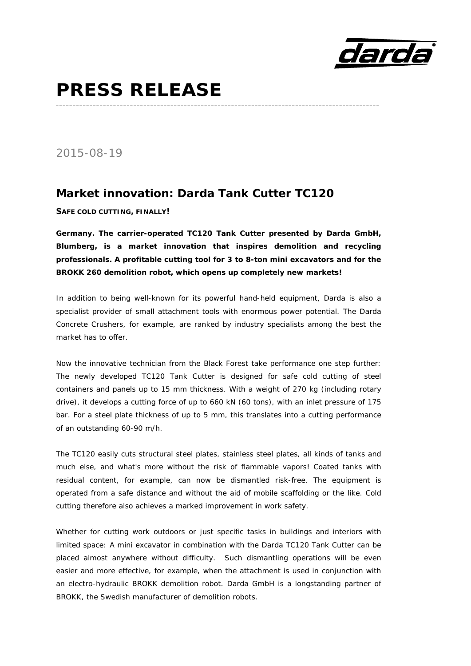

## **PRESS RELEASE**

*2015-08-19* 

## **Market innovation: Darda Tank Cutter TC120**

**SAFE COLD CUTTING, FINALLY!** 

*Germany.* **The carrier-operated TC120 Tank Cutter presented by Darda GmbH, Blumberg, is a market innovation that inspires demolition and recycling professionals. A profitable cutting tool for 3 to 8-ton mini excavators and for the BROKK 260 demolition robot, which opens up completely new markets!** 

**\_\_\_\_\_\_\_\_\_\_\_\_\_\_\_\_\_\_\_\_\_\_\_\_\_\_\_\_\_\_\_\_\_\_\_\_\_\_\_\_\_\_\_\_\_\_\_\_\_\_\_\_\_\_\_\_\_\_\_\_\_\_\_\_\_\_\_\_\_\_\_\_\_\_\_\_\_\_\_\_\_\_\_\_\_\_\_\_\_\_\_\_\_\_\_\_** 

In addition to being well-known for its powerful hand-held equipment, Darda is also a specialist provider of small attachment tools with enormous power potential. The Darda Concrete Crushers, for example, are ranked by industry specialists among the best the market has to offer.

Now the innovative technician from the Black Forest take performance one step further: The newly developed TC120 Tank Cutter is designed for safe cold cutting of steel containers and panels up to 15 mm thickness. With a weight of 270 kg (including rotary drive), it develops a cutting force of up to 660 kN (60 tons), with an inlet pressure of 175 bar. For a steel plate thickness of up to 5 mm, this translates into a cutting performance of an outstanding 60-90 m/h.

The TC120 easily cuts structural steel plates, stainless steel plates, all kinds of tanks and much else, and what's more without the risk of flammable vapors! Coated tanks with residual content, for example, can now be dismantled risk-free. The equipment is operated from a safe distance and without the aid of mobile scaffolding or the like. Cold cutting therefore also achieves a marked improvement in work safety.

Whether for cutting work outdoors or just specific tasks in buildings and interiors with limited space: A mini excavator in combination with the Darda TC120 Tank Cutter can be placed almost anywhere without difficulty. Such dismantling operations will be even easier and more effective, for example, when the attachment is used in conjunction with an electro-hydraulic BROKK demolition robot. Darda GmbH is a longstanding partner of BROKK, the Swedish manufacturer of demolition robots.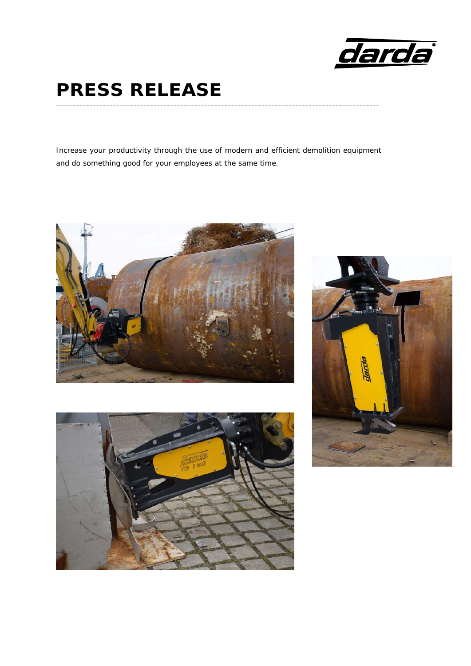

## **PRESS RELEASE**

Increase your productivity through the use of modern and efficient demolition equipment and do something good for your employees at the same time.

**\_\_\_\_\_\_\_\_\_\_\_\_\_\_\_\_\_\_\_\_\_\_\_\_\_\_\_\_\_\_\_\_\_\_\_\_\_\_\_\_\_\_\_\_\_\_\_\_\_\_\_\_\_\_\_\_\_\_\_\_\_\_\_\_\_\_\_\_\_\_\_\_\_\_\_\_\_\_\_\_\_\_\_\_\_\_\_\_\_\_\_\_\_\_\_\_**